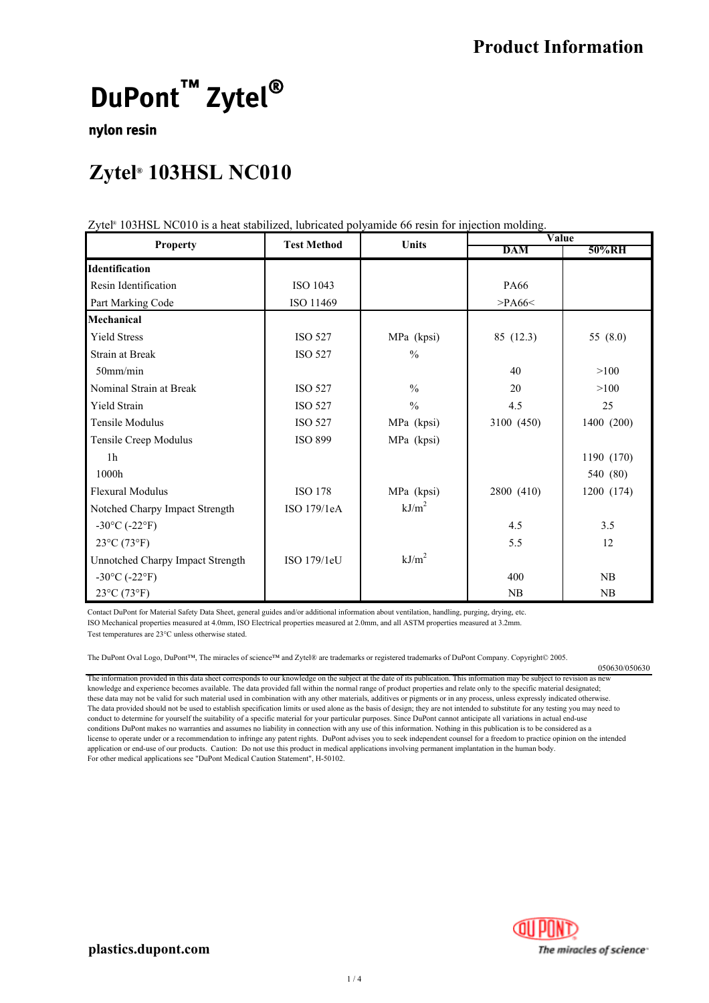# **DuPont™** Zytel®

**nylon resin**

#### **Zytel<sup>®</sup> 103HSL NC010**

Zytel<sup>®</sup> 103HSL NC010 is a heat stabilized, lubricated polyamide 66 resin for injection molding.

| <b>Test Method</b><br><b>Property</b><br><b>Units</b> |                |                   | Value        |            |
|-------------------------------------------------------|----------------|-------------------|--------------|------------|
|                                                       |                | DAM               | 50%RH        |            |
| Identification                                        |                |                   |              |            |
| Resin Identification                                  | ISO 1043       |                   | PA66         |            |
| Part Marking Code                                     | ISO 11469      |                   | $>\!\!PA66<$ |            |
| <b>Mechanical</b>                                     |                |                   |              |            |
| <b>Yield Stress</b>                                   | <b>ISO 527</b> | MPa (kpsi)        | 85(12.3)     | 55 (8.0)   |
| <b>Strain at Break</b>                                | <b>ISO 527</b> | $\frac{0}{0}$     |              |            |
| 50mm/min                                              |                |                   | 40           | >100       |
| Nominal Strain at Break                               | <b>ISO 527</b> | $\frac{0}{0}$     | 20           | >100       |
| <b>Yield Strain</b>                                   | <b>ISO 527</b> | $\frac{0}{0}$     | 4.5          | 25         |
| Tensile Modulus                                       | <b>ISO 527</b> | MPa (kpsi)        | 3100 (450)   | 1400 (200) |
| Tensile Creep Modulus                                 | <b>ISO 899</b> | MPa (kpsi)        |              |            |
| 1 <sub>h</sub>                                        |                |                   |              | 1190 (170) |
| 1000h                                                 |                |                   |              | 540 (80)   |
| <b>Flexural Modulus</b>                               | <b>ISO 178</b> | MPa (kpsi)        | 2800 (410)   | 1200 (174) |
| Notched Charpy Impact Strength                        | ISO 179/1eA    | kJ/m <sup>2</sup> |              |            |
| $-30^{\circ}$ C ( $-22^{\circ}$ F)                    |                |                   | 4.5          | 3.5        |
| $23^{\circ}C(73^{\circ}F)$                            |                |                   | 5.5          | 12         |
| Unnotched Charpy Impact Strength                      | ISO 179/1eU    | kJ/m <sup>2</sup> |              |            |
| $-30^{\circ}$ C ( $-22^{\circ}$ F)                    |                |                   | 400          | <b>NB</b>  |
| 23°C (73°F)                                           |                |                   | NB           | NB         |

Contact DuPont for Material Safety Data Sheet, general guides and/or additional information about ventilation, handling, purging, drying, etc. ISO Mechanical properties measured at 4.0mm, ISO Electrical properties measured at 2.0mm, and all ASTM properties measured at 3.2mm. Test temperatures are 23°C unless otherwise stated.

The DuPont Oval Logo, DuPont™, The miracles of science™ and Zytel® are trademarks or registered trademarks of DuPont Company. Copyright© 2005.

The information provided in this data sheet corresponds to our knowledge on the subject at the date of its publication. This information may be subject to revision as ne knowledge and experience becomes available. The data provided fall within the normal range of product properties and relate only to the specific material designated; these data may not be valid for such material used in combination with any other materials, additives or pigments or in any process, unless expressly indicated otherwise. The data provided should not be used to establish specification limits or used alone as the basis of design; they are not intended to substitute for any testing you may need to conduct to determine for yourself the suitability of a specific material for your particular purposes. Since DuPont cannot anticipate all variations in actual end-use conditions DuPont makes no warranties and assumes no liability in connection with any use of this information. Nothing in this publication is to be considered as a license to operate under or a recommendation to infringe any patent rights. DuPont advises you to seek independent counsel for a freedom to practice opinion on the intended application or end-use of our products. Caution: Do not use this product in medical applications involving permanent implantation in the human body. For other medical applications see "DuPont Medical Caution Statement", H-50102.



050630/050630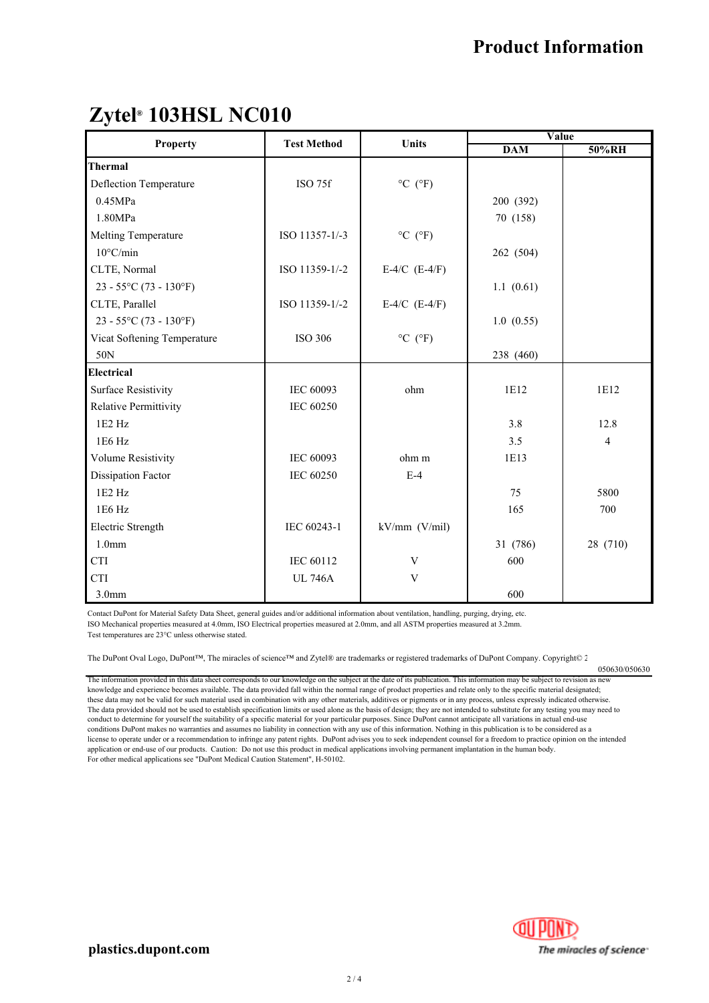### **Zytel**® **103HSL NC010**

| <b>Property</b>                       | <b>Test Method</b> | Units                        | Value      |                |
|---------------------------------------|--------------------|------------------------------|------------|----------------|
|                                       |                    |                              | <b>DAM</b> | 50%RH          |
| <b>Thermal</b>                        |                    |                              |            |                |
| Deflection Temperature                | ISO 75f            | $^{\circ}$ C ( $^{\circ}$ F) |            |                |
| 0.45MPa                               |                    |                              | 200 (392)  |                |
| 1.80MPa                               |                    |                              | 70 (158)   |                |
| Melting Temperature                   | ISO 11357-1/-3     | $^{\circ}$ C ( $^{\circ}$ F) |            |                |
| $10^{\circ}$ C/min                    |                    |                              | 262 (504)  |                |
| CLTE, Normal                          | ISO 11359-1/-2     | E-4/C $(E-4/F)$              |            |                |
| $23 - 55^{\circ}C(73 - 130^{\circ}F)$ |                    |                              | 1.1(0.61)  |                |
| CLTE, Parallel                        | ISO 11359-1/-2     | E-4/C $(E-4/F)$              |            |                |
| $23 - 55^{\circ}C(73 - 130^{\circ}F)$ |                    |                              | 1.0(0.55)  |                |
| Vicat Softening Temperature           | ISO 306            | $^{\circ}$ C ( $^{\circ}$ F) |            |                |
| 50N                                   |                    |                              | 238 (460)  |                |
| <b>Electrical</b>                     |                    |                              |            |                |
| <b>Surface Resistivity</b>            | IEC 60093          | ohm                          | 1E12       | 1E12           |
| <b>Relative Permittivity</b>          | <b>IEC 60250</b>   |                              |            |                |
| $1E2$ Hz                              |                    |                              | 3.8        | 12.8           |
| 1E6 Hz                                |                    |                              | 3.5        | $\overline{4}$ |
| Volume Resistivity                    | IEC 60093          | ohm m                        | 1E13       |                |
| Dissipation Factor                    | <b>IEC 60250</b>   | $E-4$                        |            |                |
| $1E2$ Hz                              |                    |                              | 75         | 5800           |
| 1E6 Hz                                |                    |                              | 165        | 700            |
| Electric Strength                     | IEC 60243-1        | kV/mm (V/ml)                 |            |                |
| 1.0 <sub>mm</sub>                     |                    |                              | 31 (786)   | 28 (710)       |
| <b>CTI</b>                            | IEC 60112          | V                            | 600        |                |
| <b>CTI</b>                            | <b>UL 746A</b>     | V                            |            |                |
| 3.0 <sub>mm</sub>                     |                    |                              | 600        |                |

Contact DuPont for Material Safety Data Sheet, general guides and/or additional information about ventilation, handling, purging, drying, etc. ISO Mechanical properties measured at 4.0mm, ISO Electrical properties measured at 2.0mm, and all ASTM properties measured at 3.2mm. Test temperatures are 23°C unless otherwise stated.

The DuPont Oval Logo, DuPont™, The miracles of science™ and Zytel® are trademarks or registered trademarks of DuPont Company. Copyright© 2

050630/050630

The information provided in this data sheet corresponds to our knowledge on the subject at the date of its publication. This information may be subject to revision as new knowledge and experience becomes available. The data provided fall within the normal range of product properties and relate only to the specific material designated; these data may not be valid for such material used in combination with any other materials, additives or pigments or in any process, unless expressly indicated otherwise. The data provided should not be used to establish specification limits or used alone as the basis of design; they are not intended to substitute for any testing you may need to conduct to determine for yourself the suitability of a specific material for your particular purposes. Since DuPont cannot anticipate all variations in actual end-use conditions DuPont makes no warranties and assumes no liability in connection with any use of this information. Nothing in this publication is to be considered as a license to operate under or a recommendation to infringe any patent rights. DuPont advises you to seek independent counsel for a freedom to practice opinion on the intended application or end-use of our products. Caution: Do not use this product in medical applications involving permanent implantation in the human body. For other medical applications see "DuPont Medical Caution Statement", H-50102.

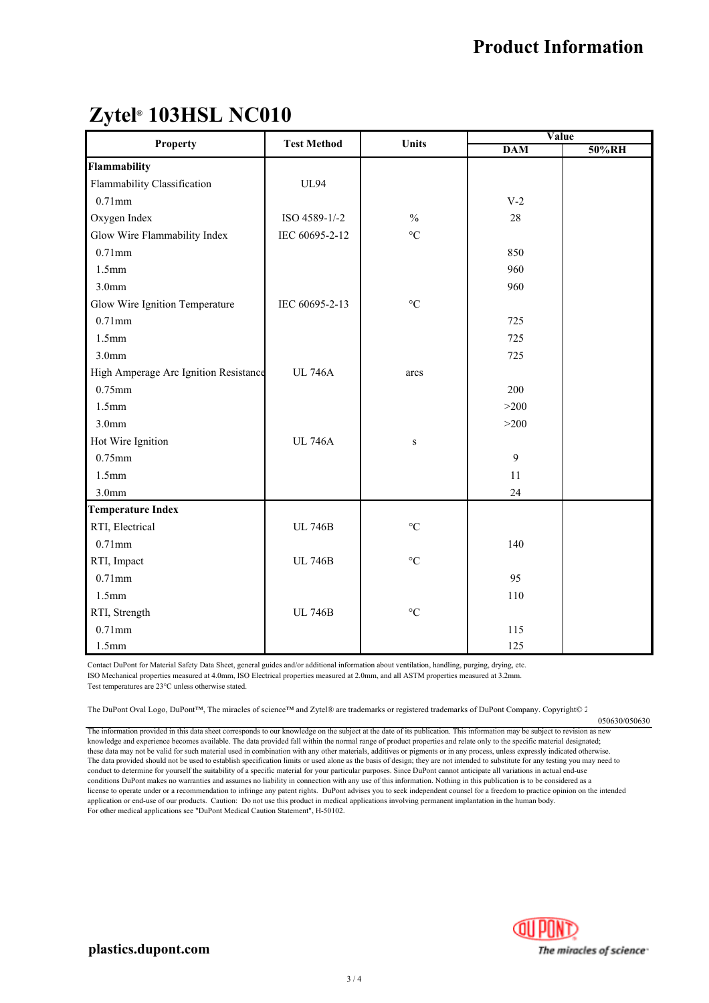## **Zytel**® **103HSL NC010**

| <b>Property</b>                       | <b>Test Method</b> | <b>Units</b>      | Value      |       |
|---------------------------------------|--------------------|-------------------|------------|-------|
|                                       |                    |                   | <b>DAM</b> | 50%RH |
| Flammability                          |                    |                   |            |       |
| Flammability Classification           | <b>UL94</b>        |                   |            |       |
| $0.71$ mm                             |                    |                   | $V-2$      |       |
| Oxygen Index                          | ISO 4589-1/-2      | $\frac{0}{0}$     | 28         |       |
| Glow Wire Flammability Index          | IEC 60695-2-12     | $\rm ^{\circ}C$   |            |       |
| $0.71$ mm                             |                    |                   | 850        |       |
| 1.5mm                                 |                    |                   | 960        |       |
| 3.0 <sub>mm</sub>                     |                    |                   | 960        |       |
| Glow Wire Ignition Temperature        | IEC 60695-2-13     | $\rm ^{\circ}C$   |            |       |
| $0.71$ mm                             |                    |                   | 725        |       |
| 1.5 <sub>mm</sub>                     |                    |                   | 725        |       |
| 3.0 <sub>mm</sub>                     |                    |                   | 725        |       |
| High Amperage Arc Ignition Resistance | <b>UL 746A</b>     | arcs              |            |       |
| $0.75$ mm                             |                    |                   | 200        |       |
| 1.5 <sub>mm</sub>                     |                    |                   | $>200$     |       |
| 3.0 <sub>mm</sub>                     |                    |                   | >200       |       |
| Hot Wire Ignition                     | <b>UL 746A</b>     | $\, {\bf S}$      |            |       |
| $0.75$ mm                             |                    |                   | 9          |       |
| 1.5mm                                 |                    |                   | 11         |       |
| 3.0 <sub>mm</sub>                     |                    |                   | 24         |       |
| <b>Temperature Index</b>              |                    |                   |            |       |
| RTI, Electrical                       | <b>UL 746B</b>     | $\rm ^{\circ}C$   |            |       |
| $0.71$ mm                             |                    |                   | 140        |       |
| RTI, Impact                           | <b>UL 746B</b>     | $^{\circ}{\rm C}$ |            |       |
| $0.71$ mm                             |                    |                   | 95         |       |
| 1.5mm                                 |                    |                   | 110        |       |
| RTI, Strength                         | <b>UL 746B</b>     | $^{\circ}{\rm C}$ |            |       |
| $0.71$ mm                             |                    |                   | 115        |       |
| 1.5 <sub>mm</sub>                     |                    |                   | 125        |       |

Contact DuPont for Material Safety Data Sheet, general guides and/or additional information about ventilation, handling, purging, drying, etc. ISO Mechanical properties measured at 4.0mm, ISO Electrical properties measured at 2.0mm, and all ASTM properties measured at 3.2mm. Test temperatures are 23°C unless otherwise stated.

The DuPont Oval Logo, DuPont™, The miracles of science™ and Zytel® are trademarks or registered trademarks of DuPont Company. Copyright© 2

050630/050630

The information provided in this data sheet corresponds to our knowledge on the subject at the date of its publication. This information may be subject to revision as new knowledge and experience becomes available. The data provided fall within the normal range of product properties and relate only to the specific material designated; these data may not be valid for such material used in combination with any other materials, additives or pigments or in any process, unless expressly indicated otherwise. The data provided should not be used to establish specification limits or used alone as the basis of design; they are not intended to substitute for any testing you may need to conduct to determine for yourself the suitability of a specific material for your particular purposes. Since DuPont cannot anticipate all variations in actual end-use conditions DuPont makes no warranties and assumes no liability in connection with any use of this information. Nothing in this publication is to be considered as a license to operate under or a recommendation to infringe any patent rights. DuPont advises you to seek independent counsel for a freedom to practice opinion on the intended application or end-use of our products. Caution: Do not use this product in medical applications involving permanent implantation in the human body. For other medical applications see "DuPont Medical Caution Statement", H-50102.